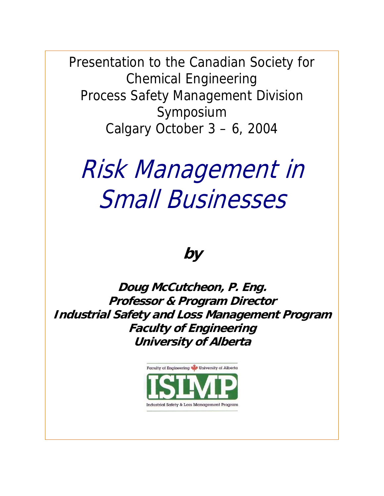Presentation to the Canadian Society for Chemical Engineering Process Safety Management Division Symposium Calgary October 3 – 6, 2004

# Risk Management in Small Businesses

# **by**

**Doug McCutcheon, P. Eng. Professor & Program Director Industrial Safety and Loss Management Program Faculty of Engineering University of Alberta** 

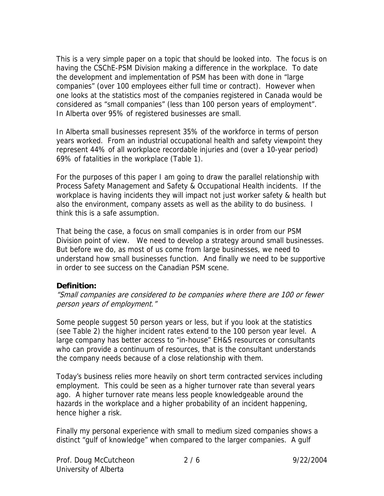This is a very simple paper on a topic that should be looked into. The focus is on having the CSChE-PSM Division making a difference in the workplace. To date the development and implementation of PSM has been with done in "large companies" (over 100 employees either full time or contract). However when one looks at the statistics most of the companies registered in Canada would be considered as "small companies" (less than 100 person years of employment". In Alberta over 95% of registered businesses are small.

In Alberta small businesses represent 35% of the workforce in terms of person years worked. From an industrial occupational health and safety viewpoint they represent 44% of all workplace recordable injuries and (over a 10-year period) 69% of fatalities in the workplace (Table 1).

For the purposes of this paper I am going to draw the parallel relationship with Process Safety Management and Safety & Occupational Health incidents. If the workplace is having incidents they will impact not just worker safety & health but also the environment, company assets as well as the ability to do business. I think this is a safe assumption.

That being the case, a focus on small companies is in order from our PSM Division point of view. We need to develop a strategy around small businesses. But before we do, as most of us come from large businesses, we need to understand how small businesses function. And finally we need to be supportive in order to see success on the Canadian PSM scene.

#### **Definition:**

"Small companies are considered to be companies where there are 100 or fewer person years of employment."

Some people suggest 50 person years or less, but if you look at the statistics (see Table 2) the higher incident rates extend to the 100 person year level. A large company has better access to "in-house" EH&S resources or consultants who can provide a continuum of resources, that is the consultant understands the company needs because of a close relationship with them.

Today's business relies more heavily on short term contracted services including employment. This could be seen as a higher turnover rate than several years ago. A higher turnover rate means less people knowledgeable around the hazards in the workplace and a higher probability of an incident happening, hence higher a risk.

Finally my personal experience with small to medium sized companies shows a distinct "gulf of knowledge" when compared to the larger companies. A gulf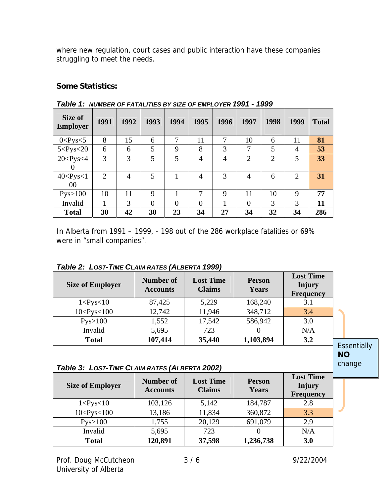where new regulation, court cases and public interaction have these companies struggling to meet the needs.

### **Some Statistics:**

| Size of<br><b>Employer</b> | 1991 | 1992           | 1993     | 1994          | 1995           | 1996           | 1997             | 1998           | 1999           | <b>Total</b> |
|----------------------------|------|----------------|----------|---------------|----------------|----------------|------------------|----------------|----------------|--------------|
| $0 < P$ ys $< 5$           | 8    | 15             | 6        | $\mathcal{I}$ | 11             | 7              | 10               | 6              | 11             | 81           |
| 5 < Pys < 20               | 6    | 6              | 5        | 9             | 8              | 3              | 7                | 5              | $\overline{4}$ | 53           |
| 20 < Pys < 4               | 3    | 3              | 5        | 5             | $\overline{4}$ | $\overline{4}$ | $\overline{2}$   | $\overline{2}$ | 5              | 33           |
| $\theta$                   |      |                |          |               |                |                |                  |                |                |              |
| 40 < Pys < 1               | 2    | $\overline{4}$ | 5        |               | $\overline{4}$ | 3              | $\overline{4}$   | 6              | $\overline{2}$ | 31           |
| 00                         |      |                |          |               |                |                |                  |                |                |              |
| Pys>100                    | 10   | 11             | 9        |               | 7              | 9              | 11               | 10             | 9              | 77           |
| Invalid                    |      | 3              | $\theta$ | $\theta$      | $\Omega$       |                | $\boldsymbol{0}$ | 3              | 3              | 11           |
| <b>Total</b>               | 30   | 42             | 30       | 23            | 34             | 27             | 34               | 32             | 34             | 286          |

*Table 1: NUMBER OF FATALITIES BY SIZE OF EMPLOYER 1991 - 1999* 

In Alberta from 1991 – 1999, - 198 out of the 286 workplace fatalities or 69% were in "small companies".

| <b>Size of Employer</b> | Number of<br><b>Accounts</b> | <b>Lost Time</b><br><b>Claims</b> | <b>Person</b><br><b>Years</b> | <b>Lost Time</b><br>Injury<br><b>Frequency</b> |
|-------------------------|------------------------------|-----------------------------------|-------------------------------|------------------------------------------------|
| $1 < P$ ys< $10$        | 87,425                       | 5,229                             | 168,240                       | 3.1                                            |
| 10 < Pys < 100          | 12,742                       | 11,946                            | 348,712                       | 3.4                                            |
| Pys>100                 | 1,552                        | 17,542                            | 586,942                       | 3.0                                            |
| Invalid                 | 5,695                        | 723                               |                               | N/A                                            |
| <b>Total</b>            | 107,414                      | 35,440                            | 1,103,894                     | 3.2                                            |
|                         |                              |                                   |                               |                                                |

*Table 2: LOST-TIME CLAIM RATES (ALBERTA 1999)* 

#### *Table 3: LOST-TIME CLAIM RATES (ALBERTA 2002)*

| <b>Size of Employer</b> | <b>Number of</b><br><b>Accounts</b> | <b>Lost Time</b><br><b>Claims</b> | <b>Person</b><br>Years | <b>Lost Time</b><br>Injury<br><b>Frequency</b> |  |
|-------------------------|-------------------------------------|-----------------------------------|------------------------|------------------------------------------------|--|
| $1 <$ Pys $<$ 10        | 103,126                             | 5,142                             | 184,787                | 2.8                                            |  |
| 10 < Pys < 100          | 13,186                              | 11,834                            | 360,872                | 3.3                                            |  |
| Pys>100                 | 1,755                               | 20,129                            | 691,079                | 2.9                                            |  |
| Invalid                 | 5,695                               | 723                               |                        | N/A                                            |  |
| <b>Total</b>            | 120,891                             | 37,598                            | 1,236,738              | 3.0                                            |  |

**NO** change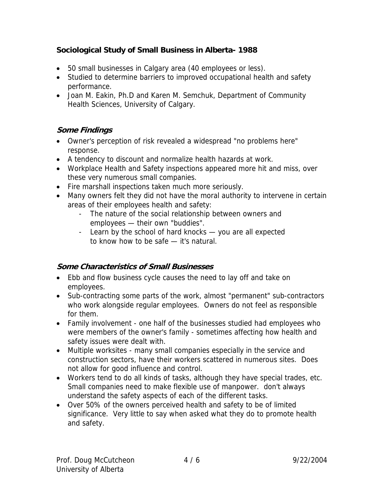## **Sociological Study of Small Business in Alberta- 1988**

- 50 small businesses in Calgary area (40 employees or less).
- Studied to determine barriers to improved occupational health and safety performance.
- Joan M. Eakin, Ph.D and Karen M. Semchuk, Department of Community Health Sciences, University of Calgary.

# **Some Findings**

- Owner's perception of risk revealed a widespread "no problems here" response.
- A tendency to discount and normalize health hazards at work.
- Workplace Health and Safety inspections appeared more hit and miss, over these very numerous small companies.
- Fire marshall inspections taken much more seriously.
- Many owners felt they did not have the moral authority to intervene in certain areas of their employees health and safety:
	- The nature of the social relationship between owners and employees — their own "buddies".
	- Learn by the school of hard knocks you are all expected to know how to be safe — it's natural.

# **Some Characteristics of Small Businesses**

- Ebb and flow business cycle causes the need to lay off and take on employees.
- Sub-contracting some parts of the work, almost "permanent" sub-contractors who work alongside regular employees. Owners do not feel as responsible for them.
- Family involvement one half of the businesses studied had employees who were members of the owner's family - sometimes affecting how health and safety issues were dealt with.
- Multiple worksites many small companies especially in the service and construction sectors, have their workers scattered in numerous sites. Does not allow for good influence and control.
- Workers tend to do all kinds of tasks, although they have special trades, etc. Small companies need to make flexible use of manpower. don't always understand the safety aspects of each of the different tasks.
- Over 50% of the owners perceived health and safety to be of limited significance. Very little to say when asked what they do to promote health and safety.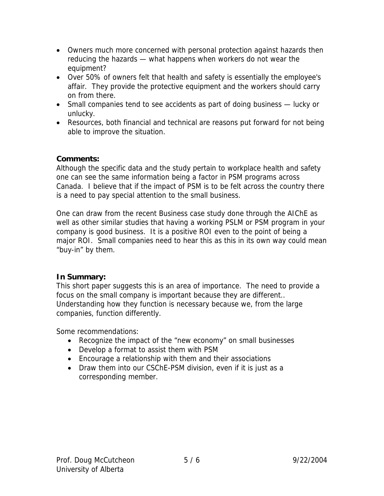- Owners much more concerned with personal protection against hazards then reducing the hazards — what happens when workers do not wear the equipment?
- Over 50% of owners felt that health and safety is essentially the employee's affair. They provide the protective equipment and the workers should carry on from there.
- Small companies tend to see accidents as part of doing business lucky or unlucky.
- Resources, both financial and technical are reasons put forward for not being able to improve the situation.

#### **Comments:**

Although the specific data and the study pertain to workplace health and safety one can see the same information being a factor in PSM programs across Canada. I believe that if the impact of PSM is to be felt across the country there is a need to pay special attention to the small business.

One can draw from the recent Business case study done through the AIChE as well as other similar studies that having a working PSLM or PSM program in your company is good business. It is a positive ROI even to the point of being a major ROI. Small companies need to hear this as this in its own way could mean "buy-in" by them.

#### **In Summary:**

This short paper suggests this is an area of importance. The need to provide a focus on the small company is important because they are different.. Understanding how they function is necessary because we, from the large companies, function differently.

Some recommendations:

- Recognize the impact of the "new economy" on small businesses
- Develop a format to assist them with PSM
- Encourage a relationship with them and their associations
- Draw them into our CSChE-PSM division, even if it is just as a corresponding member.